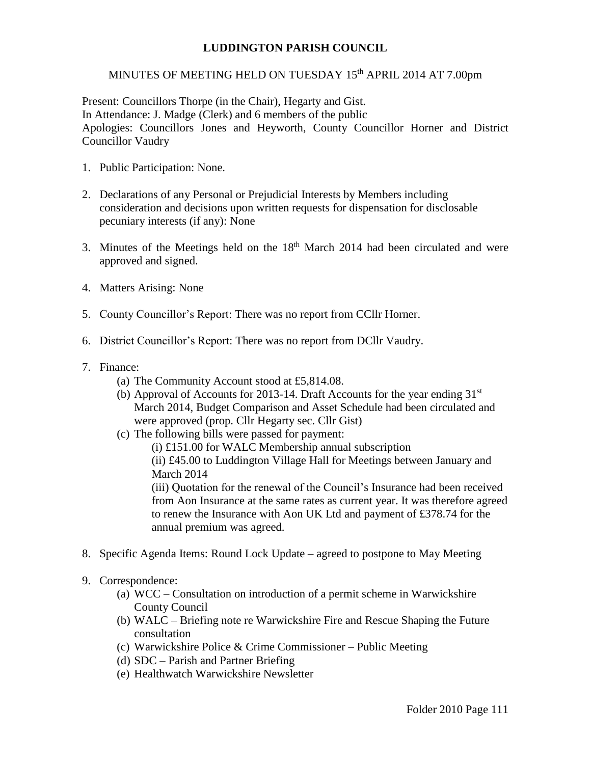## **LUDDINGTON PARISH COUNCIL**

## MINUTES OF MEETING HELD ON TUESDAY 15<sup>th</sup> APRIL 2014 AT 7.00pm

Present: Councillors Thorpe (in the Chair), Hegarty and Gist. In Attendance: J. Madge (Clerk) and 6 members of the public Apologies: Councillors Jones and Heyworth, County Councillor Horner and District Councillor Vaudry

- 1. Public Participation: None.
- 2. Declarations of any Personal or Prejudicial Interests by Members including consideration and decisions upon written requests for dispensation for disclosable pecuniary interests (if any): None
- 3. Minutes of the Meetings held on the  $18<sup>th</sup>$  March 2014 had been circulated and were approved and signed.
- 4. Matters Arising: None
- 5. County Councillor's Report: There was no report from CCllr Horner.
- 6. District Councillor's Report: There was no report from DCllr Vaudry.
- 7. Finance:
	- (a) The Community Account stood at £5,814.08.
	- (b) Approval of Accounts for 2013-14. Draft Accounts for the year ending  $31<sup>st</sup>$ March 2014, Budget Comparison and Asset Schedule had been circulated and were approved (prop. Cllr Hegarty sec. Cllr Gist)
	- (c) The following bills were passed for payment:

(i) £151.00 for WALC Membership annual subscription (ii) £45.00 to Luddington Village Hall for Meetings between January and March 2014

(iii) Quotation for the renewal of the Council's Insurance had been received from Aon Insurance at the same rates as current year. It was therefore agreed to renew the Insurance with Aon UK Ltd and payment of £378.74 for the annual premium was agreed.

- 8. Specific Agenda Items: Round Lock Update agreed to postpone to May Meeting
- 9. Correspondence:
	- (a) WCC Consultation on introduction of a permit scheme in Warwickshire County Council
	- (b) WALC Briefing note re Warwickshire Fire and Rescue Shaping the Future consultation
	- (c) Warwickshire Police & Crime Commissioner Public Meeting
	- (d) SDC Parish and Partner Briefing
	- (e) Healthwatch Warwickshire Newsletter